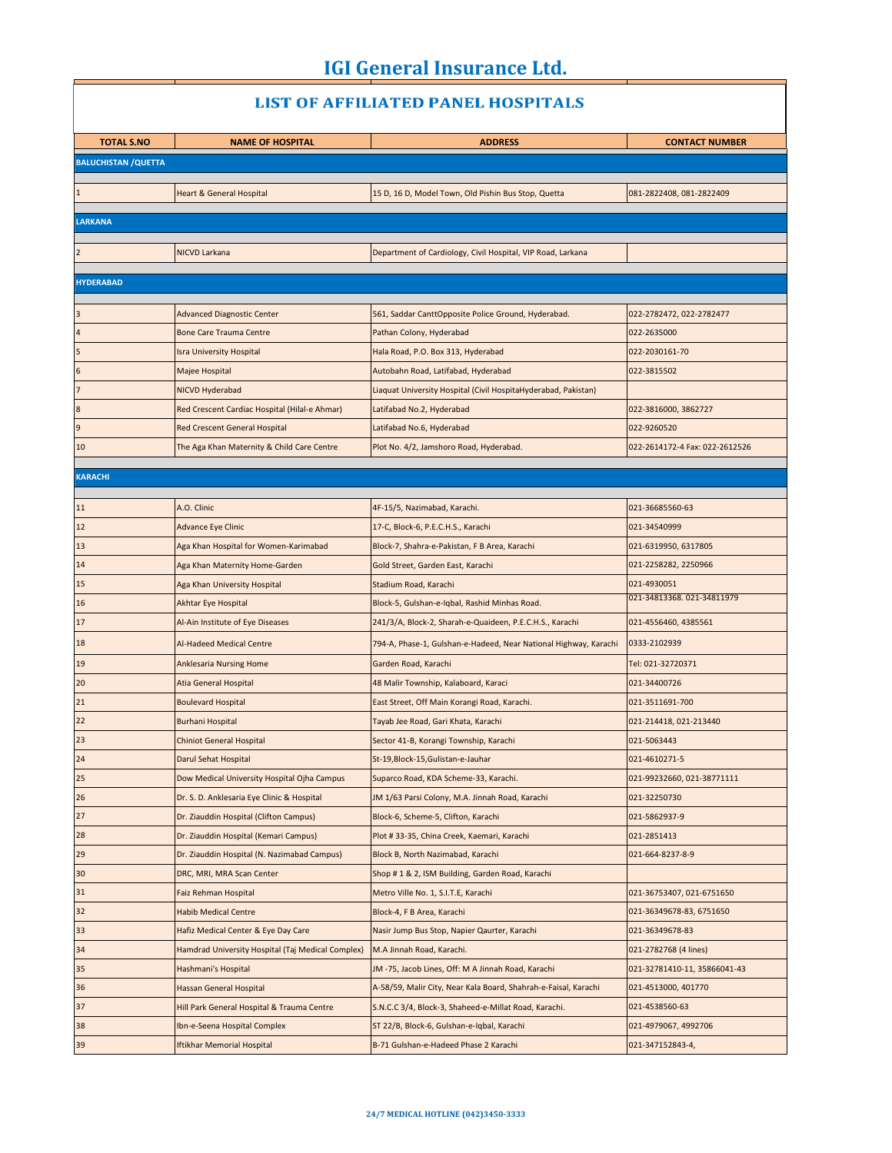$\Box$ 

| <b>LIST OF AFFILIATED PANEL HOSPITALS</b> |                                                                                      |                                                                                   |                                              |
|-------------------------------------------|--------------------------------------------------------------------------------------|-----------------------------------------------------------------------------------|----------------------------------------------|
| <b>TOTAL S.NO</b>                         | <b>NAME OF HOSPITAL</b>                                                              | <b>ADDRESS</b>                                                                    | <b>CONTACT NUMBER</b>                        |
| <b>BALUCHISTAN / QUETTA</b>               |                                                                                      |                                                                                   |                                              |
|                                           |                                                                                      |                                                                                   |                                              |
|                                           | <b>Heart &amp; General Hospital</b>                                                  | 15 D, 16 D, Model Town, Old Pishin Bus Stop, Quetta                               | 081-2822408, 081-2822409                     |
| <b>LARKANA</b>                            |                                                                                      |                                                                                   |                                              |
|                                           |                                                                                      |                                                                                   |                                              |
| $\overline{2}$                            | NICVD Larkana                                                                        | Department of Cardiology, Civil Hospital, VIP Road, Larkana                       |                                              |
| <b>HYDERABAD</b>                          |                                                                                      |                                                                                   |                                              |
|                                           |                                                                                      |                                                                                   |                                              |
|                                           | <b>Advanced Diagnostic Center</b>                                                    | 561, Saddar CanttOpposite Police Ground, Hyderabad.                               | 022-2782472, 022-2782477                     |
| $\overline{a}$                            | <b>Bone Care Trauma Centre</b>                                                       | Pathan Colony, Hyderabad                                                          | 022-2635000                                  |
| 5<br>$6\phantom{.}6$                      | <b>Isra University Hospital</b><br>Majee Hospital                                    | Hala Road, P.O. Box 313, Hyderabad<br>Autobahn Road, Latifabad, Hyderabad         | 022-2030161-70<br>022-3815502                |
| $\overline{7}$                            |                                                                                      |                                                                                   |                                              |
| $\boldsymbol{8}$                          | NICVD Hyderabad<br>Red Crescent Cardiac Hospital (Hilal-e Ahmar)                     | Liaquat University Hospital (Civil HospitaHyderabad, Pakistan)                    |                                              |
| $\overline{9}$                            | <b>Red Crescent General Hospital</b>                                                 | Latifabad No.2, Hyderabad<br>Latifabad No.6, Hyderabad                            | 022-3816000, 3862727<br>022-9260520          |
| 10                                        | The Aga Khan Maternity & Child Care Centre                                           | Plot No. 4/2, Jamshoro Road, Hyderabad.                                           | 022-2614172-4 Fax: 022-2612526               |
|                                           |                                                                                      |                                                                                   |                                              |
| <b>KARACHI</b>                            |                                                                                      |                                                                                   |                                              |
|                                           | A.O. Clinic                                                                          |                                                                                   |                                              |
| 11                                        |                                                                                      | 4F-15/5, Nazimabad, Karachi.                                                      | 021-36685560-63                              |
| 12                                        | <b>Advance Eye Clinic</b>                                                            | 17-C, Block-6, P.E.C.H.S., Karachi                                                | 021-34540999                                 |
| 13<br>14                                  | Aga Khan Hospital for Women-Karimabad                                                | Block-7, Shahra-e-Pakistan, F B Area, Karachi                                     | 021-6319950, 6317805<br>021-2258282, 2250966 |
| 15                                        | Aga Khan Maternity Home-Garden                                                       | Gold Street, Garden East, Karachi                                                 | 021-4930051                                  |
| 16                                        | Aga Khan University Hospital<br>Akhtar Eye Hospital                                  | Stadium Road, Karachi<br>Block-5, Gulshan-e-Iqbal, Rashid Minhas Road.            | 021-34813368.021-34811979                    |
| 17                                        | Al-Ain Institute of Eye Diseases                                                     | 241/3/A, Block-2, Sharah-e-Quaideen, P.E.C.H.S., Karachi                          | 021-4556460, 4385561                         |
|                                           |                                                                                      |                                                                                   |                                              |
| 18                                        | Al-Hadeed Medical Centre                                                             | 794-A, Phase-1, Gulshan-e-Hadeed, Near National Highway, Karachi                  | 0333-2102939                                 |
| 19                                        | <b>Anklesaria Nursing Home</b>                                                       | Garden Road, Karachi                                                              | Tel: 021-32720371                            |
| 20                                        | <b>Atia General Hospital</b>                                                         | 48 Malir Township, Kalaboard, Karaci                                              | 021-34400726                                 |
| 21                                        | <b>Boulevard Hospital</b>                                                            | East Street, Off Main Korangi Road, Karachi.                                      | 021-3511691-700                              |
| 22<br>23                                  | <b>Burhani Hospital</b>                                                              | Tayab Jee Road, Gari Khata, Karachi                                               | 021-214418, 021-213440                       |
|                                           | Chiniot General Hospital                                                             | Sector 41-B, Korangi Township, Karachi                                            | 021-5063443                                  |
| 24                                        | Darul Sehat Hospital<br>Dow Medical University Hospital Ojha Campus                  | St-19, Block-15, Gulistan-e-Jauhar                                                | 021-4610271-5                                |
| 25                                        |                                                                                      | Suparco Road, KDA Scheme-33, Karachi.                                             | 021-99232660, 021-38771111<br>021-32250730   |
| 26<br>27                                  | Dr. S. D. Anklesaria Eye Clinic & Hospital<br>Dr. Ziauddin Hospital (Clifton Campus) | JM 1/63 Parsi Colony, M.A. Jinnah Road, Karachi                                   | 021-5862937-9                                |
| 28                                        | Dr. Ziauddin Hospital (Kemari Campus)                                                | Block-6, Scheme-5, Clifton, Karachi<br>Plot #33-35, China Creek, Kaemari, Karachi | 021-2851413                                  |
| 29                                        | Dr. Ziauddin Hospital (N. Nazimabad Campus)                                          | Block B, North Nazimabad, Karachi                                                 | 021-664-8237-8-9                             |
| 30                                        | DRC, MRI, MRA Scan Center                                                            | Shop # 1 & 2, ISM Building, Garden Road, Karachi                                  |                                              |
| 31                                        | <b>Faiz Rehman Hospital</b>                                                          | Metro Ville No. 1, S.I.T.E, Karachi                                               | 021-36753407, 021-6751650                    |
| 32                                        | <b>Habib Medical Centre</b>                                                          | Block-4, F B Area, Karachi                                                        | 021-36349678-83, 6751650                     |
| 33                                        | Hafiz Medical Center & Eye Day Care                                                  | Nasir Jump Bus Stop, Napier Qaurter, Karachi                                      | 021-36349678-83                              |
| 34                                        | Hamdrad University Hospital (Taj Medical Complex)                                    | M.A Jinnah Road, Karachi.                                                         | 021-2782768 (4 lines)                        |
| 35                                        | Hashmani's Hospital                                                                  | JM -75, Jacob Lines, Off: M A Jinnah Road, Karachi                                | 021-32781410-11, 35866041-43                 |
| 36                                        | Hassan General Hospital                                                              | A-58/59, Malir City, Near Kala Board, Shahrah-e-Faisal, Karachi                   | 021-4513000, 401770                          |
| 37                                        | Hill Park General Hospital & Trauma Centre                                           | S.N.C.C 3/4, Block-3, Shaheed-e-Millat Road, Karachi.                             | 021-4538560-63                               |
| 38                                        | Ibn-e-Seena Hospital Complex                                                         | ST 22/B, Block-6, Gulshan-e-Iqbal, Karachi                                        | 021-4979067, 4992706                         |
| 39                                        | <b>Iftikhar Memorial Hospital</b>                                                    | B-71 Gulshan-e-Hadeed Phase 2 Karachi                                             | 021-347152843-4,                             |

#### **24/7 MEDICAL HOTLINE (042)3450-3333**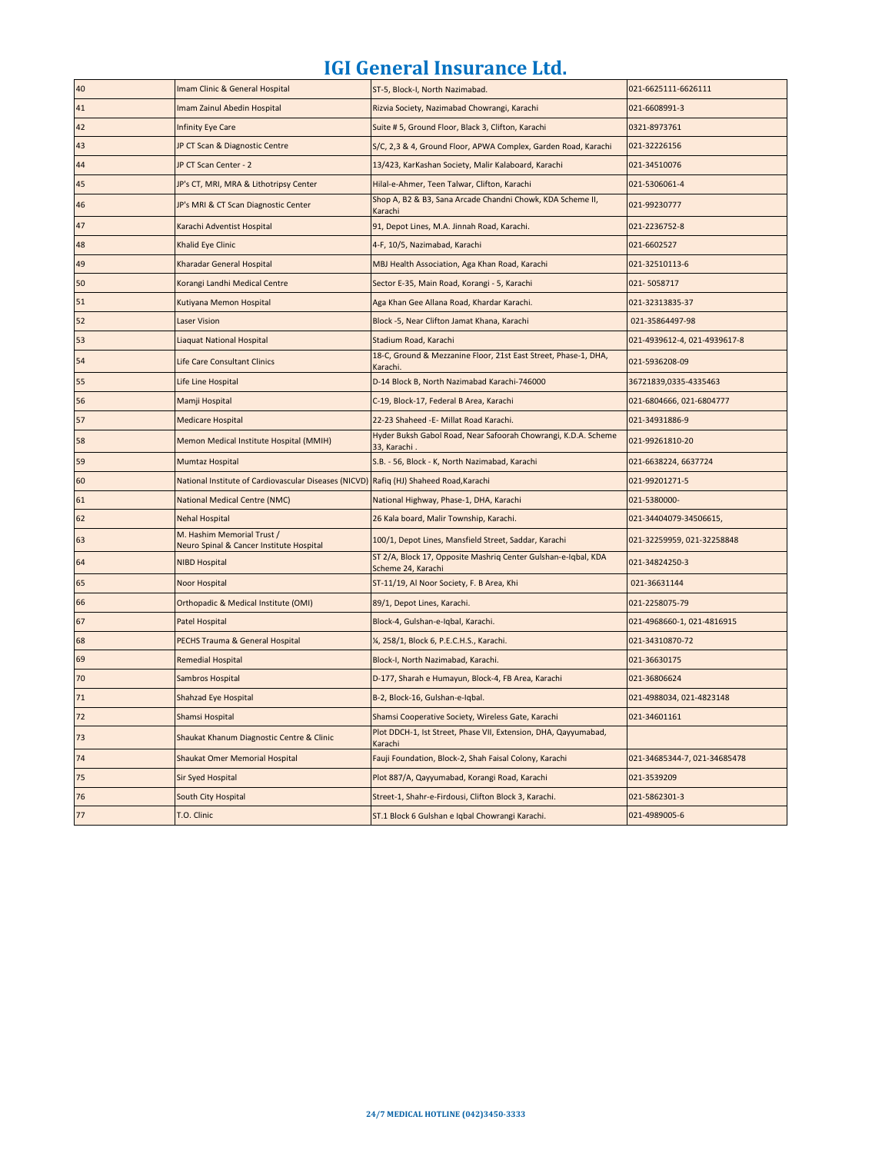| 40   | Imam Clinic & General Hospital                                                         | ST-5, Block-I, North Nazimabad.                                                      | 021-6625111-6626111          |
|------|----------------------------------------------------------------------------------------|--------------------------------------------------------------------------------------|------------------------------|
| 41   | Imam Zainul Abedin Hospital                                                            | Rizvia Society, Nazimabad Chowrangi, Karachi                                         | 021-6608991-3                |
| 42   | <b>Infinity Eye Care</b>                                                               | Suite #5, Ground Floor, Black 3, Clifton, Karachi                                    | 0321-8973761                 |
| 43   | JP CT Scan & Diagnostic Centre                                                         | S/C, 2,3 & 4, Ground Floor, APWA Complex, Garden Road, Karachi                       | 021-32226156                 |
| 44   | JP CT Scan Center - 2                                                                  | 13/423, KarKashan Society, Malir Kalaboard, Karachi                                  | 021-34510076                 |
| 45   | JP's CT, MRI, MRA & Lithotripsy Center                                                 | Hilal-e-Ahmer, Teen Talwar, Clifton, Karachi                                         | 021-5306061-4                |
| 46   | JP's MRI & CT Scan Diagnostic Center                                                   | Shop A, B2 & B3, Sana Arcade Chandni Chowk, KDA Scheme II,<br>Karachi                | 021-99230777                 |
| 47   | Karachi Adventist Hospital                                                             | 91, Depot Lines, M.A. Jinnah Road, Karachi.                                          | 021-2236752-8                |
| 48   | Khalid Eye Clinic                                                                      | 4-F, 10/5, Nazimabad, Karachi                                                        | 021-6602527                  |
| 49   | Kharadar General Hospital                                                              | MBJ Health Association, Aga Khan Road, Karachi                                       | 021-32510113-6               |
| 50   | Korangi Landhi Medical Centre                                                          | Sector E-35, Main Road, Korangi - 5, Karachi                                         | 021-5058717                  |
| 51   | Kutiyana Memon Hospital                                                                | Aga Khan Gee Allana Road, Khardar Karachi.                                           | 021-32313835-37              |
| 52   | <b>Laser Vision</b>                                                                    | Block -5, Near Clifton Jamat Khana, Karachi                                          | 021-35864497-98              |
| 53   | <b>Liaquat National Hospital</b>                                                       | Stadium Road, Karachi                                                                | 021-4939612-4, 021-4939617-8 |
| 54   | Life Care Consultant Clinics                                                           | 18-C, Ground & Mezzanine Floor, 21st East Street, Phase-1, DHA,<br>Karachi.          | 021-5936208-09               |
| 55   | Life Line Hospital                                                                     | D-14 Block B, North Nazimabad Karachi-746000                                         | 36721839,0335-4335463        |
| 56   | Mamji Hospital                                                                         | C-19, Block-17, Federal B Area, Karachi                                              | 021-6804666, 021-6804777     |
| 57   | <b>Medicare Hospital</b>                                                               | 22-23 Shaheed -E- Millat Road Karachi.                                               | 021-34931886-9               |
| 58   | Memon Medical Institute Hospital (MMIH)                                                | Hyder Buksh Gabol Road, Near Safoorah Chowrangi, K.D.A. Scheme<br>33, Karachi        | 021-99261810-20              |
| 59   | Mumtaz Hospital                                                                        | S.B. - 56, Block - K, North Nazimabad, Karachi                                       | 021-6638224, 6637724         |
| 60   | National Institute of Cardiovascular Diseases (NICVD) Rafiq (HJ) Shaheed Road, Karachi |                                                                                      | 021-99201271-5               |
| 61   | National Medical Centre (NMC)                                                          | National Highway, Phase-1, DHA, Karachi                                              | 021-5380000-                 |
| 62   | <b>Nehal Hospital</b>                                                                  | 26 Kala board, Malir Township, Karachi.                                              | 021-34404079-34506615,       |
| 63   | M. Hashim Memorial Trust /<br>Neuro Spinal & Cancer Institute Hospital                 | 100/1, Depot Lines, Mansfield Street, Saddar, Karachi                                | 021-32259959, 021-32258848   |
| 64   | <b>NIBD Hospital</b>                                                                   | ST 2/A, Block 17, Opposite Mashriq Center Gulshan-e-Iqbal, KDA<br>Scheme 24, Karachi | 021-34824250-3               |
| 65   | Noor Hospital                                                                          | ST-11/19, Al Noor Society, F. B Area, Khi                                            | 021-36631144                 |
| 66   | Orthopadic & Medical Institute (OMI)                                                   | 89/1, Depot Lines, Karachi.                                                          | 021-2258075-79               |
| 67   | <b>Patel Hospital</b>                                                                  | Block-4, Gulshan-e-Iqbal, Karachi.                                                   | 021-4968660-1, 021-4816915   |
| 68   | PECHS Trauma & General Hospital                                                        | ¼, 258/1, Block 6, P.E.C.H.S., Karachi.                                              | 021-34310870-72              |
| 69   | <b>Remedial Hospital</b>                                                               | Block-I, North Nazimabad, Karachi.                                                   | 021-36630175                 |
| 70   | Sambros Hospital                                                                       | D-177, Sharah e Humayun, Block-4, FB Area, Karachi                                   | 021-36806624                 |
| $71$ | Shahzad Eye Hospital                                                                   | B-2, Block-16, Gulshan-e-Iqbal.                                                      | 021-4988034, 021-4823148     |
| 72   | Shamsi Hospital                                                                        | Shamsi Cooperative Society, Wireless Gate, Karachi                                   | 021-34601161                 |
| 73   | Shaukat Khanum Diagnostic Centre & Clinic                                              | Plot DDCH-1, Ist Street, Phase VII, Extension, DHA, Qayyumabad,<br>Karachi           |                              |
| 74   | Shaukat Omer Memorial Hospital                                                         | Fauji Foundation, Block-2, Shah Faisal Colony, Karachi                               | 021-34685344-7, 021-34685478 |
| 75   | <b>Sir Syed Hospital</b>                                                               | Plot 887/A, Qayyumabad, Korangi Road, Karachi                                        | 021-3539209                  |
| 76   | South City Hospital                                                                    | Street-1, Shahr-e-Firdousi, Clifton Block 3, Karachi.                                | 021-5862301-3                |
| 77   | T.O. Clinic                                                                            | ST.1 Block 6 Gulshan e Iqbal Chowrangi Karachi.                                      | 021-4989005-6                |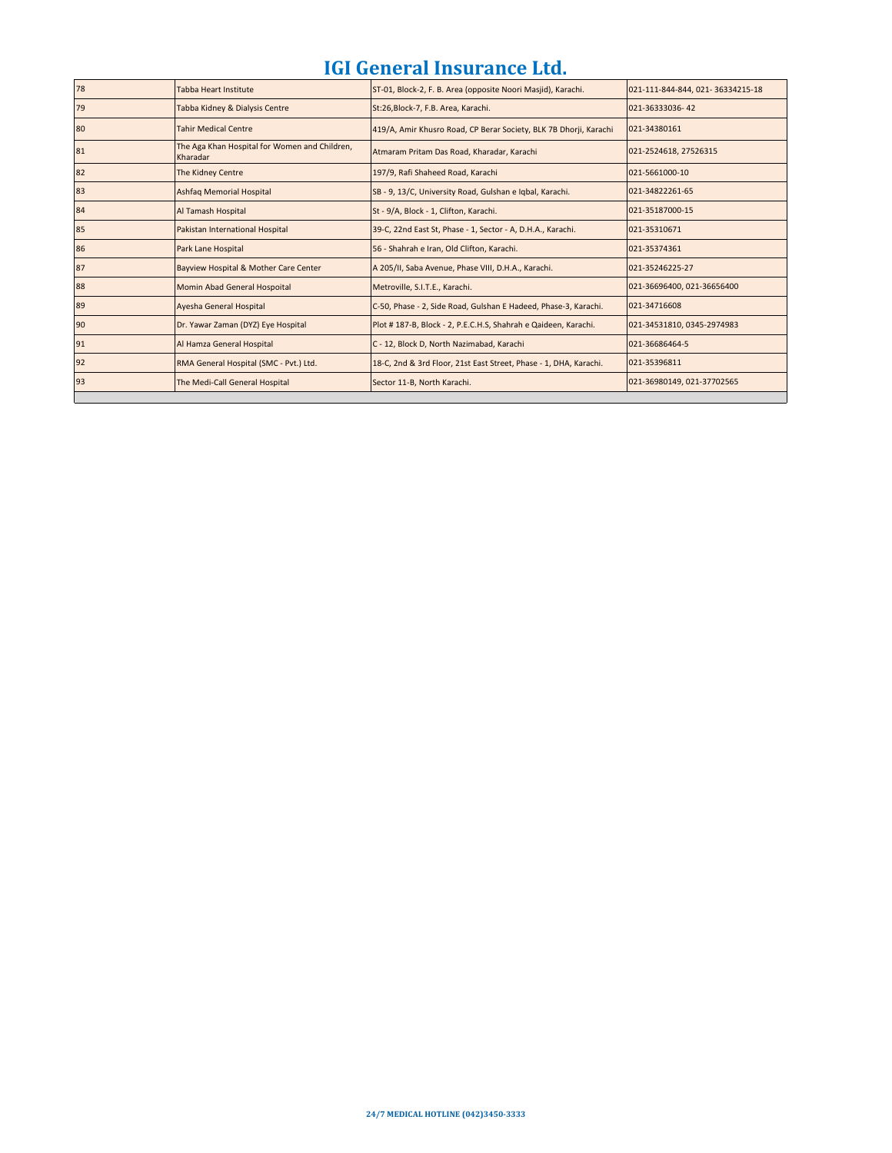| 78 | <b>Tabba Heart Institute</b>                              | ST-01, Block-2, F. B. Area (opposite Noori Masjid), Karachi.      | 021-111-844-844, 021-36334215-18 |
|----|-----------------------------------------------------------|-------------------------------------------------------------------|----------------------------------|
| 79 | Tabba Kidney & Dialysis Centre                            | St:26, Block-7, F.B. Area, Karachi.                               | 021-36333036-42                  |
| 80 | <b>Tahir Medical Centre</b>                               | 419/A, Amir Khusro Road, CP Berar Society, BLK 7B Dhorji, Karachi | 021-34380161                     |
| 81 | The Aga Khan Hospital for Women and Children,<br>Kharadar | Atmaram Pritam Das Road, Kharadar, Karachi                        | 021-2524618, 27526315            |
| 82 | The Kidney Centre                                         | 197/9, Rafi Shaheed Road, Karachi                                 | 021-5661000-10                   |
| 83 | Ashfaq Memorial Hospital                                  | SB - 9, 13/C, University Road, Gulshan e Igbal, Karachi.          | 021-34822261-65                  |
| 84 | Al Tamash Hospital                                        | St - 9/A, Block - 1, Clifton, Karachi.                            | 021-35187000-15                  |
| 85 | Pakistan International Hospital                           | 39-C, 22nd East St, Phase - 1, Sector - A, D.H.A., Karachi.       | 021-35310671                     |
| 86 | Park Lane Hospital                                        | 56 - Shahrah e Iran, Old Clifton, Karachi.                        | 021-35374361                     |
| 87 | Bayview Hospital & Mother Care Center                     | A 205/II, Saba Avenue, Phase VIII, D.H.A., Karachi.               | 021-35246225-27                  |
| 88 | Momin Abad General Hospoital                              | Metroville, S.I.T.E., Karachi.                                    | 021-36696400, 021-36656400       |
| 89 | Ayesha General Hospital                                   | C-50, Phase - 2, Side Road, Gulshan E Hadeed, Phase-3, Karachi.   | 021-34716608                     |
| 90 | Dr. Yawar Zaman (DYZ) Eye Hospital                        | Plot #187-B, Block - 2, P.E.C.H.S, Shahrah e Qaideen, Karachi.    | 021-34531810, 0345-2974983       |
| 91 | Al Hamza General Hospital                                 | C - 12, Block D, North Nazimabad, Karachi                         | 021-36686464-5                   |
| 92 | RMA General Hospital (SMC - Pvt.) Ltd.                    | 18-C, 2nd & 3rd Floor, 21st East Street, Phase - 1, DHA, Karachi. | 021-35396811                     |
| 93 | The Medi-Call General Hospital                            | Sector 11-B, North Karachi.                                       | 021-36980149, 021-37702565       |
|    |                                                           |                                                                   |                                  |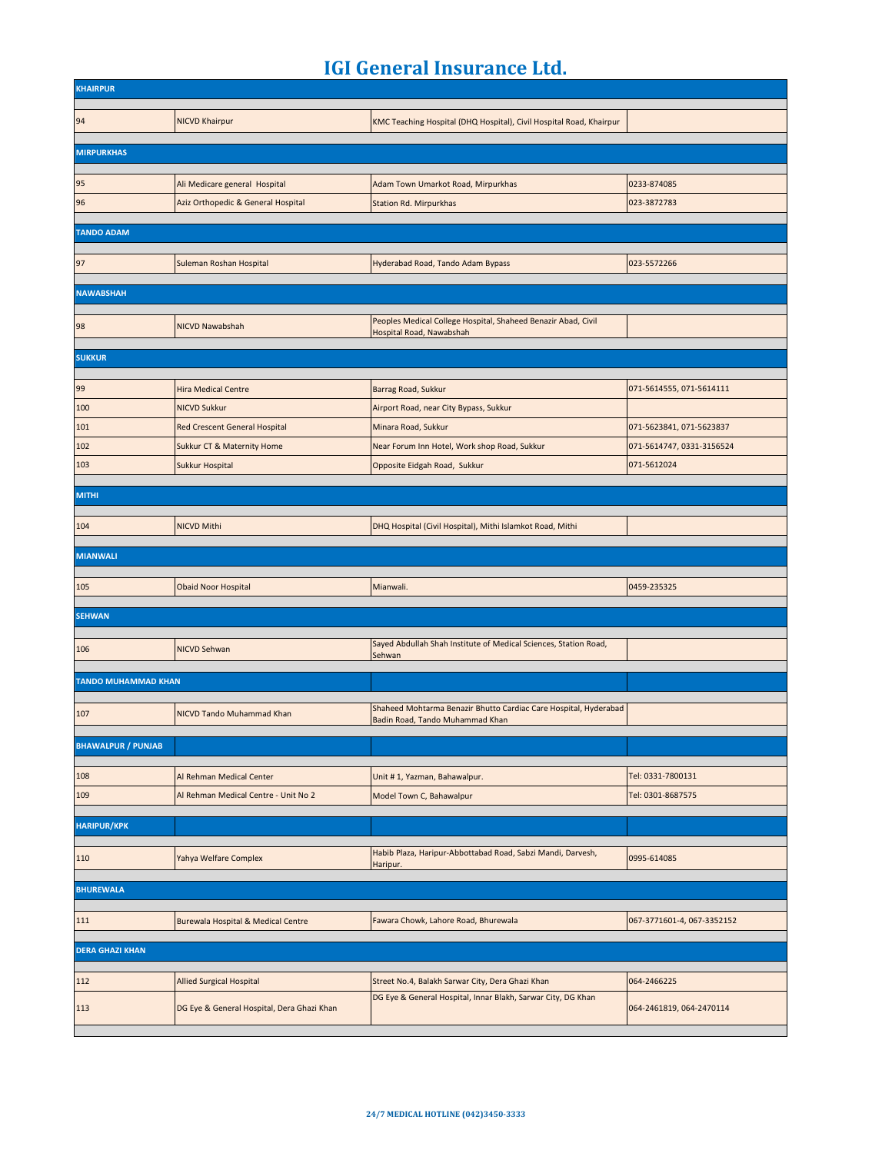| <b>KHAIRPUR</b>            |                                            |                                                                                                     |                            |
|----------------------------|--------------------------------------------|-----------------------------------------------------------------------------------------------------|----------------------------|
| 94                         | <b>NICVD Khairpur</b>                      | KMC Teaching Hospital (DHQ Hospital), Civil Hospital Road, Khairpur                                 |                            |
|                            |                                            |                                                                                                     |                            |
| <b>MIRPURKHAS</b>          |                                            |                                                                                                     |                            |
|                            |                                            |                                                                                                     |                            |
| 95                         | Ali Medicare general Hospital              | Adam Town Umarkot Road, Mirpurkhas                                                                  | 0233-874085                |
| 96                         | Aziz Orthopedic & General Hospital         | Station Rd. Mirpurkhas                                                                              | 023-3872783                |
| <b>TANDO ADAM</b>          |                                            |                                                                                                     |                            |
|                            |                                            |                                                                                                     |                            |
| 97                         | Suleman Roshan Hospital                    | Hyderabad Road, Tando Adam Bypass                                                                   | 023-5572266                |
| <b>NAWABSHAH</b>           |                                            |                                                                                                     |                            |
|                            |                                            |                                                                                                     |                            |
| 98                         | NICVD Nawabshah                            | Peoples Medical College Hospital, Shaheed Benazir Abad, Civil<br>Hospital Road, Nawabshah           |                            |
|                            |                                            |                                                                                                     |                            |
| <b>SUKKUR</b>              |                                            |                                                                                                     |                            |
| 99                         | <b>Hira Medical Centre</b>                 | Barrag Road, Sukkur                                                                                 | 071-5614555, 071-5614111   |
| 100                        | <b>NICVD Sukkur</b>                        | Airport Road, near City Bypass, Sukkur                                                              |                            |
| 101                        | Red Crescent General Hospital              | Minara Road, Sukkur                                                                                 | 071-5623841, 071-5623837   |
| 102                        | Sukkur CT & Maternity Home                 | Near Forum Inn Hotel, Work shop Road, Sukkur                                                        | 071-5614747, 0331-3156524  |
| 103                        | Sukkur Hospital                            | Opposite Eidgah Road, Sukkur                                                                        | 071-5612024                |
|                            |                                            |                                                                                                     |                            |
| <b>MITHI</b>               |                                            |                                                                                                     |                            |
| 104                        | <b>NICVD Mithi</b>                         | DHQ Hospital (Civil Hospital), Mithi Islamkot Road, Mithi                                           |                            |
|                            |                                            |                                                                                                     |                            |
| <b>MIANWALI</b>            |                                            |                                                                                                     |                            |
|                            |                                            |                                                                                                     |                            |
|                            |                                            |                                                                                                     |                            |
| 105                        | <b>Obaid Noor Hospital</b>                 | Mianwali.                                                                                           | 0459-235325                |
| <b>SEHWAN</b>              |                                            |                                                                                                     |                            |
|                            |                                            |                                                                                                     |                            |
| 106                        | <b>NICVD Sehwan</b>                        | Sayed Abdullah Shah Institute of Medical Sciences, Station Road,<br>Sehwan                          |                            |
|                            |                                            |                                                                                                     |                            |
| <b>TANDO MUHAMMAD KHAN</b> |                                            |                                                                                                     |                            |
| 107                        | NICVD Tando Muhammad Khan                  | Shaheed Mohtarma Benazir Bhutto Cardiac Care Hospital, Hyderabad<br>Badin Road, Tando Muhammad Khan |                            |
|                            |                                            |                                                                                                     |                            |
| <b>BHAWALPUR / PUNJAB</b>  |                                            |                                                                                                     |                            |
| 108                        | Al Rehman Medical Center                   | Unit #1, Yazman, Bahawalpur.                                                                        | Tel: 0331-7800131          |
| 109                        | Al Rehman Medical Centre - Unit No 2       | Model Town C, Bahawalpur                                                                            | Tel: 0301-8687575          |
|                            |                                            |                                                                                                     |                            |
| <b>HARIPUR/KPK</b>         |                                            |                                                                                                     |                            |
|                            |                                            | Habib Plaza, Haripur-Abbottabad Road, Sabzi Mandi, Darvesh,                                         |                            |
| 110                        | Yahya Welfare Complex                      | Haripur.                                                                                            | 0995-614085                |
| <b>BHUREWALA</b>           |                                            |                                                                                                     |                            |
|                            |                                            |                                                                                                     |                            |
| 111                        | Burewala Hospital & Medical Centre         | Fawara Chowk, Lahore Road, Bhurewala                                                                | 067-3771601-4, 067-3352152 |
| <b>DERA GHAZI KHAN</b>     |                                            |                                                                                                     |                            |
|                            |                                            |                                                                                                     |                            |
| 112                        | <b>Allied Surgical Hospital</b>            | Street No.4, Balakh Sarwar City, Dera Ghazi Khan                                                    | 064-2466225                |
| 113                        | DG Eye & General Hospital, Dera Ghazi Khan | DG Eye & General Hospital, Innar Blakh, Sarwar City, DG Khan                                        | 064-2461819, 064-2470114   |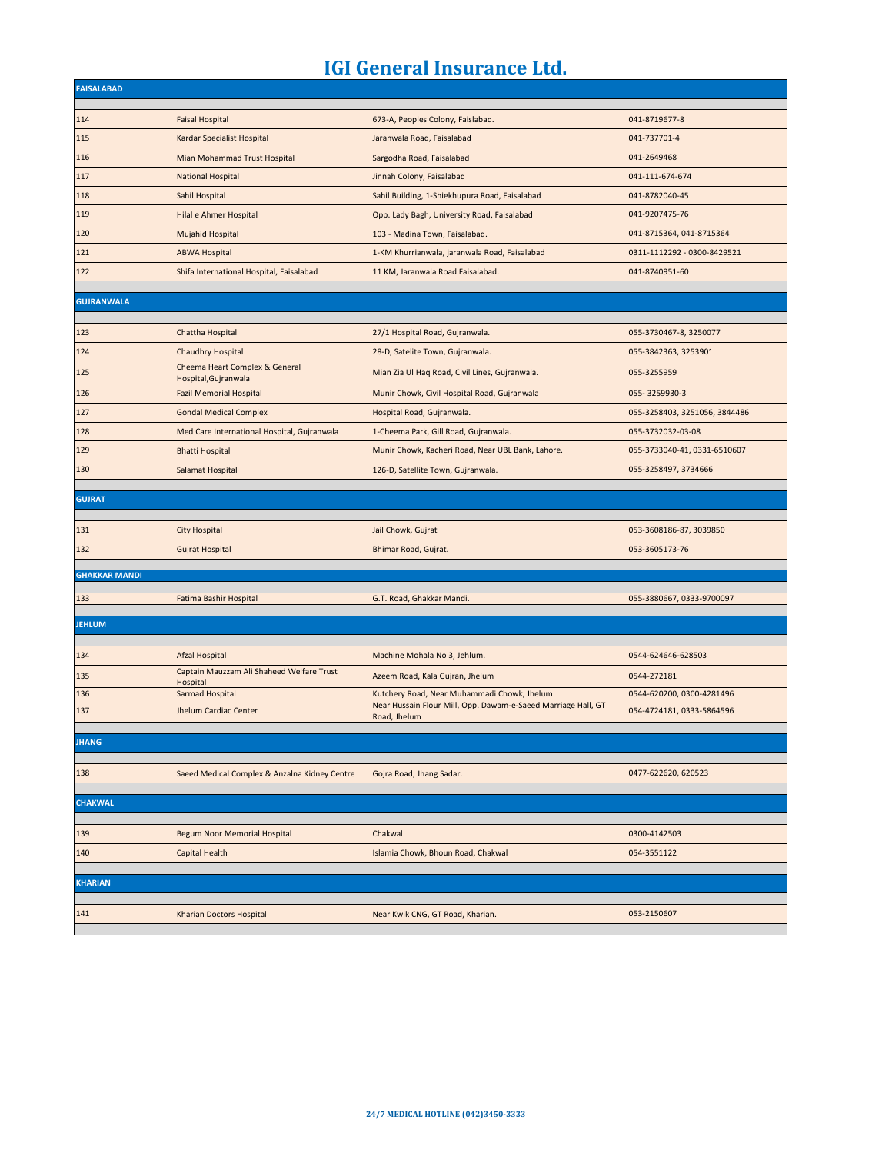| <b>FAISALABAD</b>    |                                                        |                                                                                                              |                               |
|----------------------|--------------------------------------------------------|--------------------------------------------------------------------------------------------------------------|-------------------------------|
|                      |                                                        |                                                                                                              | 041-8719677-8                 |
| 114                  | <b>Faisal Hospital</b>                                 | 673-A, Peoples Colony, Faislabad.<br>Jaranwala Road, Faisalabad                                              |                               |
| 115                  | Kardar Specialist Hospital                             |                                                                                                              | 041-737701-4                  |
| 116                  | Mian Mohammad Trust Hospital                           | Sargodha Road, Faisalabad                                                                                    | 041-2649468                   |
| 117                  | <b>National Hospital</b>                               | Jinnah Colony, Faisalabad                                                                                    | 041-111-674-674               |
| 118                  | Sahil Hospital                                         | Sahil Building, 1-Shiekhupura Road, Faisalabad                                                               | 041-8782040-45                |
| 119                  | Hilal e Ahmer Hospital                                 | Opp. Lady Bagh, University Road, Faisalabad                                                                  | 041-9207475-76                |
| 120                  | Mujahid Hospital                                       | 103 - Madina Town, Faisalabad.                                                                               | 041-8715364, 041-8715364      |
| 121                  | <b>ABWA Hospital</b>                                   | 1-KM Khurrianwala, jaranwala Road, Faisalabad                                                                | 0311-1112292 - 0300-8429521   |
| 122                  | Shifa International Hospital, Faisalabad               | 11 KM, Jaranwala Road Faisalabad.                                                                            | 041-8740951-60                |
| <b>GUJRANWALA</b>    |                                                        |                                                                                                              |                               |
|                      |                                                        |                                                                                                              |                               |
| 123                  | Chattha Hospital                                       | 27/1 Hospital Road, Gujranwala.                                                                              | 055-3730467-8, 3250077        |
| 124                  | Chaudhry Hospital                                      | 28-D, Satelite Town, Gujranwala.                                                                             | 055-3842363, 3253901          |
| 125                  | Cheema Heart Complex & General<br>Hospital, Gujranwala | Mian Zia Ul Haq Road, Civil Lines, Gujranwala.                                                               | 055-3255959                   |
| 126                  | <b>Fazil Memorial Hospital</b>                         | Munir Chowk, Civil Hospital Road, Gujranwala                                                                 | 055-3259930-3                 |
| 127                  | <b>Gondal Medical Complex</b>                          | Hospital Road, Gujranwala.                                                                                   | 055-3258403, 3251056, 3844486 |
| 128                  | Med Care International Hospital, Gujranwala            | 1-Cheema Park, Gill Road, Gujranwala.                                                                        | 055-3732032-03-08             |
| 129                  | <b>Bhatti Hospital</b>                                 | Munir Chowk, Kacheri Road, Near UBL Bank, Lahore.                                                            | 055-3733040-41, 0331-6510607  |
| 130                  | Salamat Hospital                                       | 126-D, Satellite Town, Gujranwala.                                                                           | 055-3258497, 3734666          |
|                      |                                                        |                                                                                                              |                               |
| <b>GUJRAT</b>        |                                                        |                                                                                                              |                               |
| 131                  | <b>City Hospital</b>                                   | Jail Chowk, Gujrat                                                                                           | 053-3608186-87, 3039850       |
| 132                  | <b>Gujrat Hospital</b>                                 | Bhimar Road, Gujrat.                                                                                         | 053-3605173-76                |
|                      |                                                        |                                                                                                              |                               |
| <b>GHAKKAR MANDI</b> |                                                        |                                                                                                              |                               |
| 133                  | Fatima Bashir Hospital                                 | G.T. Road, Ghakkar Mandi.                                                                                    | 055-3880667, 0333-9700097     |
| <b>JEHLUM</b>        |                                                        |                                                                                                              |                               |
|                      |                                                        |                                                                                                              |                               |
| 134                  | Afzal Hospital                                         | Machine Mohala No 3, Jehlum.                                                                                 | 0544-624646-628503            |
| 135                  | Captain Mauzzam Ali Shaheed Welfare Trust<br>Hospital  | Azeem Road, Kala Gujran, Jhelum                                                                              | 0544-272181                   |
| 136                  | Sarmad Hospital                                        | Kutchery Road, Near Muhammadi Chowk, Jhelum<br>Near Hussain Flour Mill, Opp. Dawam-e-Saeed Marriage Hall, GT | 0544-620200, 0300-4281496     |
| 137                  | Jhelum Cardiac Center                                  | Road, Jhelum                                                                                                 | 054-4724181, 0333-5864596     |
| <b>JHANG</b>         |                                                        |                                                                                                              |                               |
|                      |                                                        |                                                                                                              |                               |
| 138                  | Saeed Medical Complex & Anzalna Kidney Centre          | Gojra Road, Jhang Sadar.                                                                                     | 0477-622620, 620523           |
| <b>CHAKWAL</b>       |                                                        |                                                                                                              |                               |
| 139                  | Begum Noor Memorial Hospital                           | Chakwal                                                                                                      | 0300-4142503                  |
| 140                  | Capital Health                                         | Islamia Chowk, Bhoun Road, Chakwal                                                                           | 054-3551122                   |
|                      |                                                        |                                                                                                              |                               |
| <b>KHARIAN</b>       |                                                        |                                                                                                              |                               |
|                      |                                                        |                                                                                                              |                               |
| 141                  | Kharian Doctors Hospital                               | Near Kwik CNG, GT Road, Kharian.                                                                             | 053-2150607                   |
|                      |                                                        |                                                                                                              |                               |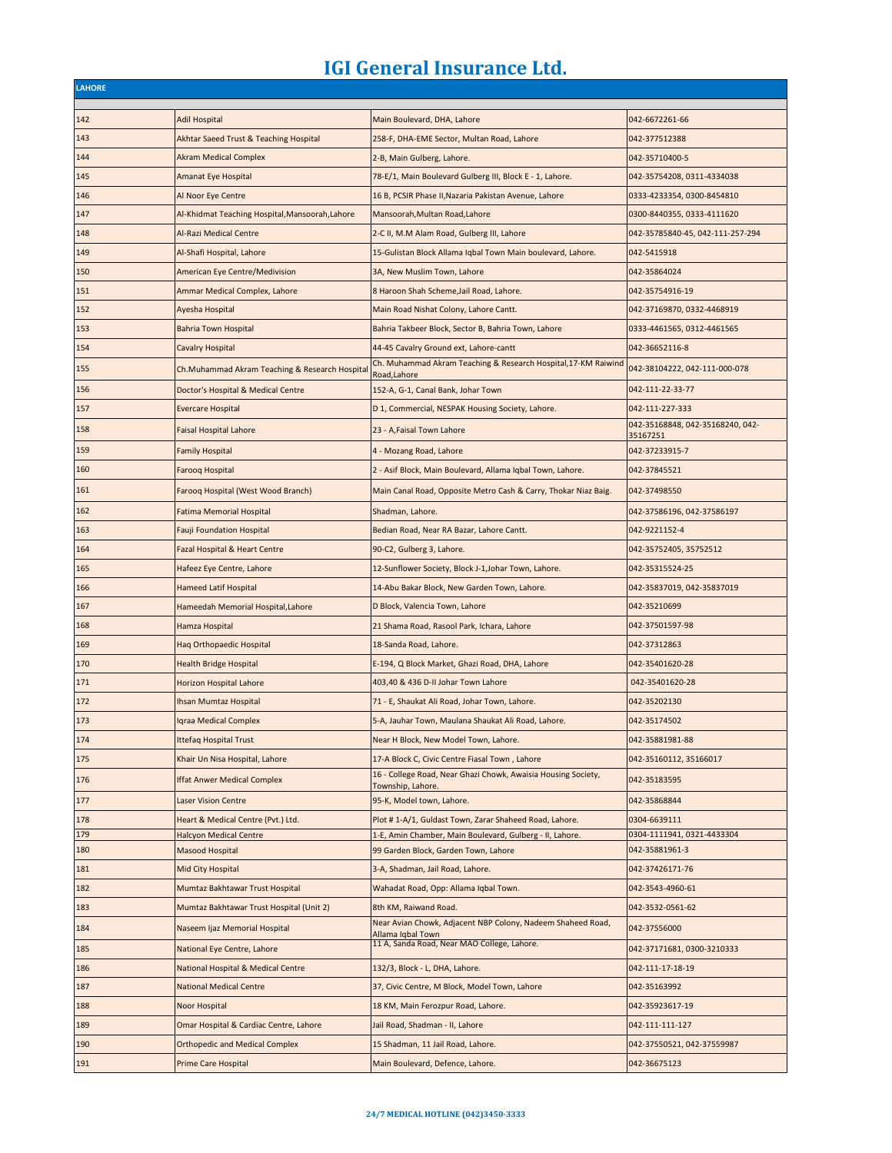г

| <b>LAHORE</b> |                                                 |                                                                                    |                                              |
|---------------|-------------------------------------------------|------------------------------------------------------------------------------------|----------------------------------------------|
| 142           | <b>Adil Hospital</b>                            | Main Boulevard, DHA, Lahore                                                        | 042-6672261-66                               |
| 143           | Akhtar Saeed Trust & Teaching Hospital          | 258-F, DHA-EME Sector, Multan Road, Lahore                                         | 042-377512388                                |
| 144           | <b>Akram Medical Complex</b>                    | 2-B, Main Gulberg, Lahore.                                                         | 042-35710400-5                               |
| 145           | <b>Amanat Eye Hospital</b>                      | 78-E/1, Main Boulevard Gulberg III, Block E - 1, Lahore.                           | 042-35754208, 0311-4334038                   |
| 146           |                                                 |                                                                                    |                                              |
|               | Al Noor Eye Centre                              | 16 B, PCSIR Phase II, Nazaria Pakistan Avenue, Lahore                              | 0333-4233354, 0300-8454810                   |
| 147           | Al-Khidmat Teaching Hospital, Mansoorah, Lahore | Mansoorah, Multan Road, Lahore                                                     | 0300-8440355, 0333-4111620                   |
| 148           | Al-Razi Medical Centre                          | 2-C II, M.M Alam Road, Gulberg III, Lahore                                         | 042-35785840-45, 042-111-257-294             |
| 149           | Al-Shafi Hospital, Lahore                       | 15-Gulistan Block Allama Igbal Town Main boulevard, Lahore.                        | 042-5415918                                  |
| 150           | American Eye Centre/Medivision                  | 3A, New Muslim Town, Lahore                                                        | 042-35864024                                 |
| 151           | Ammar Medical Complex, Lahore                   | 8 Haroon Shah Scheme, Jail Road, Lahore.                                           | 042-35754916-19                              |
| 152           | Ayesha Hospital                                 | Main Road Nishat Colony, Lahore Cantt.                                             | 042-37169870, 0332-4468919                   |
| 153           | <b>Bahria Town Hospital</b>                     | Bahria Takbeer Block, Sector B, Bahria Town, Lahore                                | 0333-4461565, 0312-4461565                   |
| 154           | <b>Cavalry Hospital</b>                         | 44-45 Cavalry Ground ext, Lahore-cantt                                             | 042-36652116-8                               |
| 155           | Ch.Muhammad Akram Teaching & Research Hospital  | Ch. Muhammad Akram Teaching & Research Hospital, 17-KM Raiwind<br>Road, Lahore     | 042-38104222, 042-111-000-078                |
| 156           | Doctor's Hospital & Medical Centre              | 152-A, G-1, Canal Bank, Johar Town                                                 | 042-111-22-33-77                             |
| 157           | <b>Evercare Hospital</b>                        | D 1, Commercial, NESPAK Housing Society, Lahore.                                   | 042-111-227-333                              |
| 158           | <b>Faisal Hospital Lahore</b>                   | 23 - A, Faisal Town Lahore                                                         | 042-35168848, 042-35168240, 042-<br>35167251 |
| 159           | <b>Family Hospital</b>                          | 4 - Mozang Road, Lahore                                                            | 042-37233915-7                               |
| 160           | Farooq Hospital                                 | 2 - Asif Block, Main Boulevard, Allama Iqbal Town, Lahore.                         | 042-37845521                                 |
| 161           | Farooq Hospital (West Wood Branch)              | Main Canal Road, Opposite Metro Cash & Carry, Thokar Niaz Baig.                    | 042-37498550                                 |
| 162           | <b>Fatima Memorial Hospital</b>                 | Shadman, Lahore.                                                                   | 042-37586196, 042-37586197                   |
| 163           | <b>Fauji Foundation Hospital</b>                | Bedian Road, Near RA Bazar, Lahore Cantt.                                          | 042-9221152-4                                |
| 164           | Fazal Hospital & Heart Centre                   | 90-C2, Gulberg 3, Lahore.                                                          | 042-35752405, 35752512                       |
| 165           | Hafeez Eye Centre, Lahore                       | 12-Sunflower Society, Block J-1, Johar Town, Lahore.                               | 042-35315524-25                              |
| 166           | Hameed Latif Hospital                           | 14-Abu Bakar Block, New Garden Town, Lahore.                                       | 042-35837019, 042-35837019                   |
| 167           | Hameedah Memorial Hospital, Lahore              | D Block, Valencia Town, Lahore                                                     | 042-35210699                                 |
| 168           | Hamza Hospital                                  | 21 Shama Road, Rasool Park, Ichara, Lahore                                         | 042-37501597-98                              |
| 169           | Haq Orthopaedic Hospital                        | 18-Sanda Road, Lahore.                                                             | 042-37312863                                 |
| 170           | <b>Health Bridge Hospital</b>                   | E-194, Q Block Market, Ghazi Road, DHA, Lahore                                     | 042-35401620-28                              |
| 171           | <b>Horizon Hospital Lahore</b>                  | 403,40 & 436 D-II Johar Town Lahore                                                | 042-35401620-28                              |
| 172           | Ihsan Mumtaz Hospital                           | 71 - E, Shaukat Ali Road, Johar Town, Lahore.                                      | 042-35202130                                 |
| 173           | Iqraa Medical Complex                           | 5-A, Jauhar Town, Maulana Shaukat Ali Road, Lahore.                                | 042-35174502                                 |
| 174           | <b>Ittefaq Hospital Trust</b>                   | Near H Block, New Model Town, Lahore.                                              | 042-35881981-88                              |
| 175           | Khair Un Nisa Hospital, Lahore                  | 17-A Block C, Civic Centre Fiasal Town, Lahore                                     | 042-35160112, 35166017                       |
| 176           | <b>Iffat Anwer Medical Complex</b>              | 16 - College Road, Near Ghazi Chowk, Awaisia Housing Society,<br>Township, Lahore. | 042-35183595                                 |
| 177           | <b>Laser Vision Centre</b>                      | 95-K, Model town, Lahore.                                                          | 042-35868844                                 |
| 178           | Heart & Medical Centre (Pvt.) Ltd.              | Plot #1-A/1, Guldast Town, Zarar Shaheed Road, Lahore.                             | 0304-6639111                                 |
| 179           | <b>Halcyon Medical Centre</b>                   | 1-E, Amin Chamber, Main Boulevard, Gulberg - II, Lahore.                           | 0304-1111941, 0321-4433304                   |
| 180           | Masood Hospital                                 | 99 Garden Block, Garden Town, Lahore                                               | 042-35881961-3                               |
| 181           | Mid City Hospital                               | 3-A, Shadman, Jail Road, Lahore.                                                   | 042-37426171-76                              |
| 182           | Mumtaz Bakhtawar Trust Hospital                 | Wahadat Road, Opp: Allama Iqbal Town.                                              | 042-3543-4960-61                             |
| 183           | Mumtaz Bakhtawar Trust Hospital (Unit 2)        | 8th KM, Raiwand Road.                                                              | 042-3532-0561-62                             |
| 184           | Naseem Ijaz Memorial Hospital                   | Near Avian Chowk, Adjacent NBP Colony, Nadeem Shaheed Road,<br>Allama Iqbal Town   | 042-37556000                                 |
| 185           | National Eye Centre, Lahore                     | 11 A, Sanda Road, Near MAO College, Lahore.                                        | 042-37171681, 0300-3210333                   |
| 186           | National Hospital & Medical Centre              | 132/3, Block - L, DHA, Lahore.                                                     | 042-111-17-18-19                             |
| 187           | <b>National Medical Centre</b>                  | 37, Civic Centre, M Block, Model Town, Lahore                                      | 042-35163992                                 |
| 188           | Noor Hospital                                   | 18 KM, Main Ferozpur Road, Lahore.                                                 | 042-35923617-19                              |
| 189           | Omar Hospital & Cardiac Centre, Lahore          | Jail Road, Shadman - II, Lahore                                                    | 042-111-111-127                              |
| 190           | <b>Orthopedic and Medical Complex</b>           | 15 Shadman, 11 Jail Road, Lahore.                                                  | 042-37550521, 042-37559987                   |
| 191           | Prime Care Hospital                             | Main Boulevard, Defence, Lahore.                                                   | 042-36675123                                 |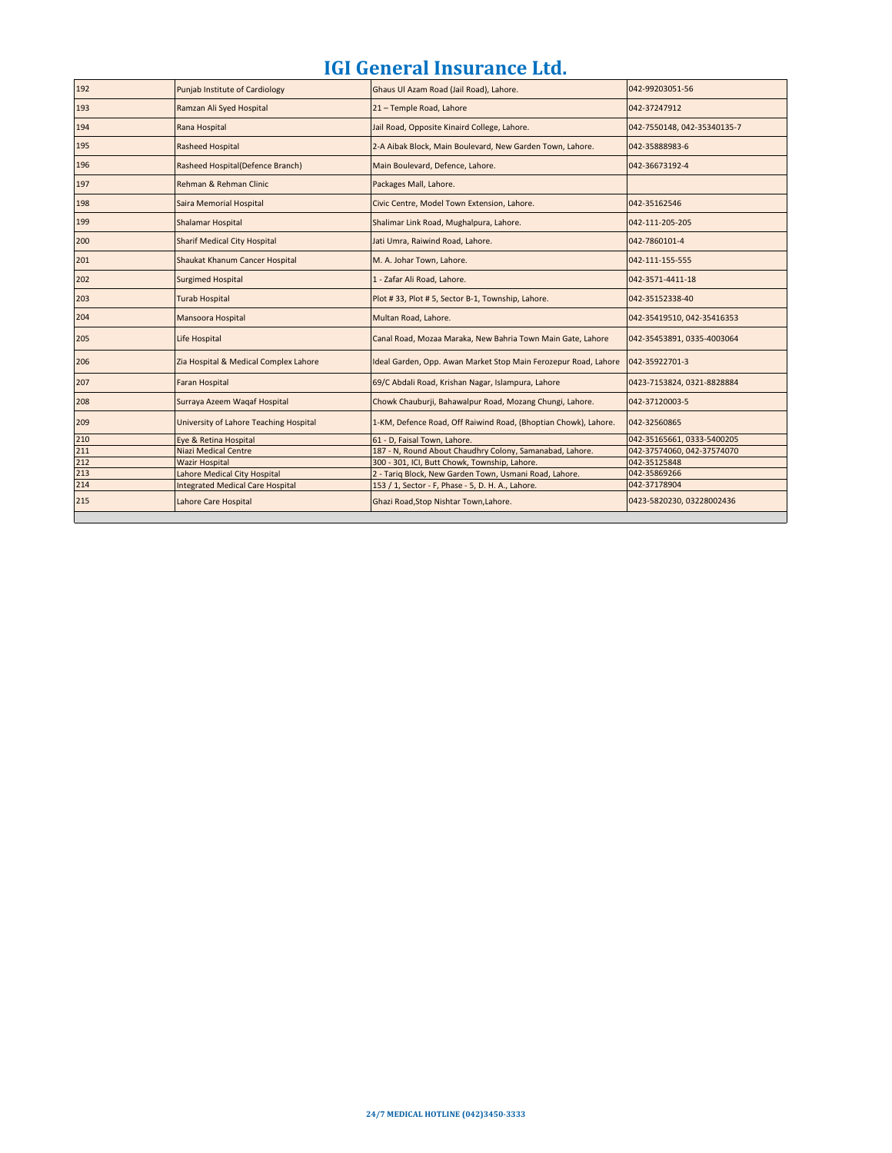| 192 | Punjab Institute of Cardiology          | Ghaus Ul Azam Road (Jail Road), Lahore.                         | 042-99203051-56             |
|-----|-----------------------------------------|-----------------------------------------------------------------|-----------------------------|
| 193 | Ramzan Ali Syed Hospital                | 21 - Temple Road, Lahore                                        | 042-37247912                |
| 194 | Rana Hospital                           | Jail Road, Opposite Kinaird College, Lahore.                    | 042-7550148, 042-35340135-7 |
| 195 | <b>Rasheed Hospital</b>                 | 2-A Aibak Block, Main Boulevard, New Garden Town, Lahore.       | 042-35888983-6              |
| 196 | Rasheed Hospital(Defence Branch)        | Main Boulevard, Defence, Lahore.                                | 042-36673192-4              |
| 197 | Rehman & Rehman Clinic                  | Packages Mall, Lahore.                                          |                             |
| 198 | Saira Memorial Hospital                 | Civic Centre, Model Town Extension, Lahore.                     | 042-35162546                |
| 199 | Shalamar Hospital                       | Shalimar Link Road, Mughalpura, Lahore.                         | 042-111-205-205             |
| 200 | <b>Sharif Medical City Hospital</b>     | Jati Umra, Raiwind Road, Lahore.                                | 042-7860101-4               |
| 201 | Shaukat Khanum Cancer Hospital          | M. A. Johar Town, Lahore.                                       | 042-111-155-555             |
| 202 | <b>Surgimed Hospital</b>                | 1 - Zafar Ali Road, Lahore.                                     | 042-3571-4411-18            |
| 203 | <b>Turab Hospital</b>                   | Plot #33, Plot #5, Sector B-1, Township, Lahore.                | 042-35152338-40             |
| 204 | Mansoora Hospital                       | Multan Road, Lahore.                                            | 042-35419510, 042-35416353  |
| 205 | Life Hospital                           | Canal Road, Mozaa Maraka, New Bahria Town Main Gate, Lahore     | 042-35453891, 0335-4003064  |
| 206 | Zia Hospital & Medical Complex Lahore   | Ideal Garden, Opp. Awan Market Stop Main Ferozepur Road, Lahore | 042-35922701-3              |
| 207 | Faran Hospital                          | 69/C Abdali Road, Krishan Nagar, Islampura, Lahore              | 0423-7153824, 0321-8828884  |
| 208 | Surraya Azeem Wagaf Hospital            | Chowk Chauburji, Bahawalpur Road, Mozang Chungi, Lahore.        | 042-37120003-5              |
| 209 | University of Lahore Teaching Hospital  | 1-KM, Defence Road, Off Raiwind Road, (Bhoptian Chowk), Lahore. | 042-32560865                |
| 210 | Eye & Retina Hospital                   | 61 - D, Faisal Town, Lahore.                                    | 042-35165661, 0333-5400205  |
| 211 | <b>Niazi Medical Centre</b>             | 187 - N, Round About Chaudhry Colony, Samanabad, Lahore.        | 042-37574060, 042-37574070  |
| 212 | <b>Wazir Hospital</b>                   | 300 - 301, ICI, Butt Chowk, Township, Lahore.                   | 042-35125848                |
| 213 | Lahore Medical City Hospital            | 2 - Tariq Block, New Garden Town, Usmani Road, Lahore.          | 042-35869266                |
| 214 | <b>Integrated Medical Care Hospital</b> | 153 / 1, Sector - F, Phase - 5, D. H. A., Lahore.               | 042-37178904                |
| 215 | Lahore Care Hospital                    | Ghazi Road, Stop Nishtar Town, Lahore.                          | 0423-5820230, 03228002436   |
|     |                                         |                                                                 |                             |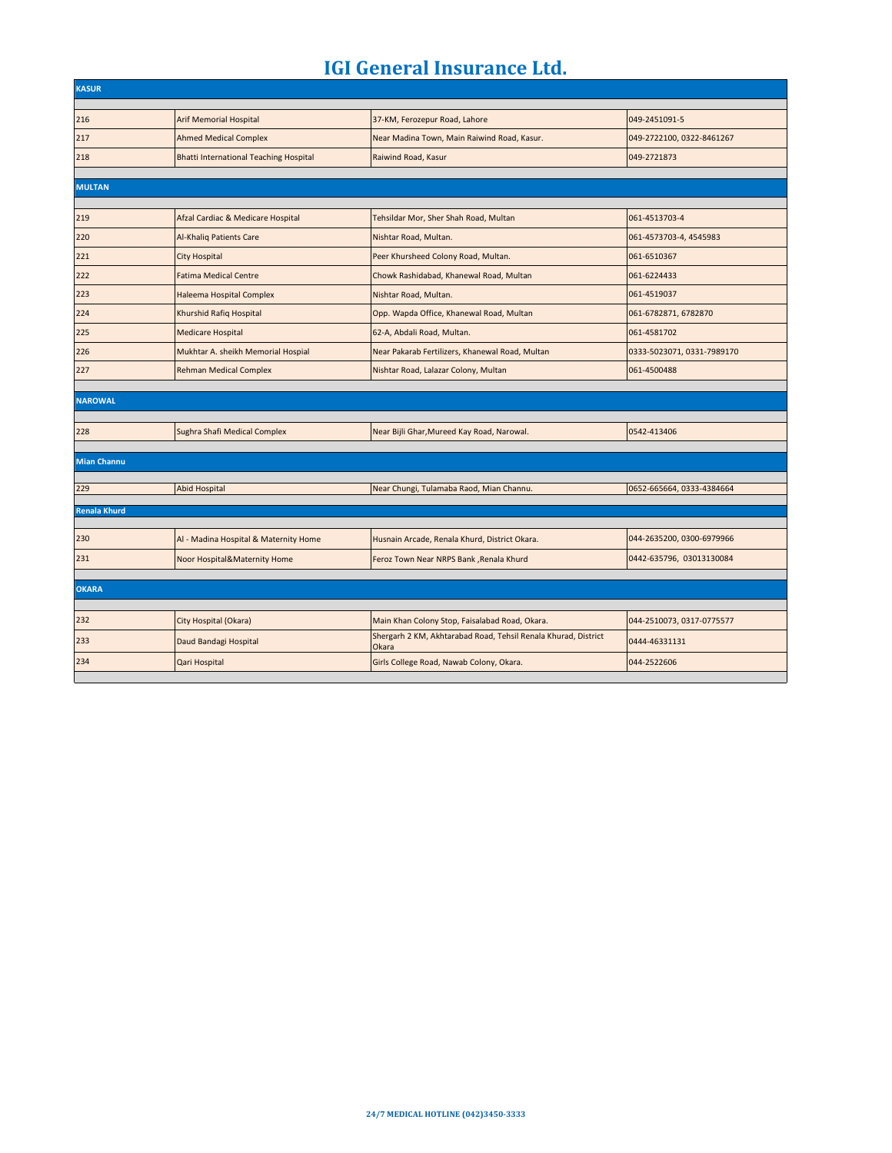| <b>KASUR</b>        |                                               |                                                                         |                            |  |
|---------------------|-----------------------------------------------|-------------------------------------------------------------------------|----------------------------|--|
|                     |                                               |                                                                         |                            |  |
| 216                 | <b>Arif Memorial Hospital</b>                 | 37-KM, Ferozepur Road, Lahore                                           | 049-2451091-5              |  |
| 217                 | <b>Ahmed Medical Complex</b>                  | Near Madina Town, Main Raiwind Road, Kasur.                             | 049-2722100, 0322-8461267  |  |
| 218                 | <b>Bhatti International Teaching Hospital</b> | Raiwind Road, Kasur                                                     | 049-2721873                |  |
|                     |                                               |                                                                         |                            |  |
| <b>MULTAN</b>       |                                               |                                                                         |                            |  |
| 219                 | Afzal Cardiac & Medicare Hospital             | Tehsildar Mor, Sher Shah Road, Multan                                   | 061-4513703-4              |  |
| 220                 | <b>Al-Khaliq Patients Care</b>                | Nishtar Road, Multan.                                                   | 061-4573703-4, 4545983     |  |
| 221                 | <b>City Hospital</b>                          | Peer Khursheed Colony Road, Multan.                                     | 061-6510367                |  |
| 222                 | <b>Fatima Medical Centre</b>                  | Chowk Rashidabad, Khanewal Road, Multan                                 | 061-6224433                |  |
| 223                 | Haleema Hospital Complex                      | Nishtar Road, Multan.                                                   | 061-4519037                |  |
| 224                 | Khurshid Rafiq Hospital                       | Opp. Wapda Office, Khanewal Road, Multan                                | 061-6782871, 6782870       |  |
| 225                 | <b>Medicare Hospital</b>                      | 62-A, Abdali Road, Multan.                                              | 061-4581702                |  |
| 226                 | Mukhtar A. sheikh Memorial Hospial            | Near Pakarab Fertilizers, Khanewal Road, Multan                         | 0333-5023071, 0331-7989170 |  |
| 227                 | <b>Rehman Medical Complex</b>                 | Nishtar Road, Lalazar Colony, Multan                                    | 061-4500488                |  |
|                     |                                               |                                                                         |                            |  |
| <b>NAROWAL</b>      |                                               |                                                                         |                            |  |
| 228                 | Sughra Shafi Medical Complex                  | Near Bijli Ghar, Mureed Kay Road, Narowal.                              | 0542-413406                |  |
|                     |                                               |                                                                         |                            |  |
| <b>Mian Channu</b>  |                                               |                                                                         |                            |  |
| 229                 |                                               |                                                                         | 0652-665664, 0333-4384664  |  |
|                     | <b>Abid Hospital</b>                          | Near Chungi, Tulamaba Raod, Mian Channu.                                |                            |  |
| <b>Renala Khurd</b> |                                               |                                                                         |                            |  |
| 230                 | Al - Madina Hospital & Maternity Home         | Husnain Arcade, Renala Khurd, District Okara.                           | 044-2635200, 0300-6979966  |  |
| 231                 | Noor Hospital&Maternity Home                  | Feroz Town Near NRPS Bank , Renala Khurd                                | 0442-635796, 03013130084   |  |
|                     |                                               |                                                                         |                            |  |
| <b>OKARA</b>        |                                               |                                                                         |                            |  |
|                     |                                               |                                                                         |                            |  |
| 232                 | City Hospital (Okara)                         | Main Khan Colony Stop, Faisalabad Road, Okara.                          | 044-2510073, 0317-0775577  |  |
| 233                 | Daud Bandagi Hospital                         | Shergarh 2 KM, Akhtarabad Road, Tehsil Renala Khurad, District<br>Okara | 0444-46331131              |  |
| 234                 | Qari Hospital                                 | Girls College Road, Nawab Colony, Okara.                                | 044-2522606                |  |
|                     |                                               |                                                                         |                            |  |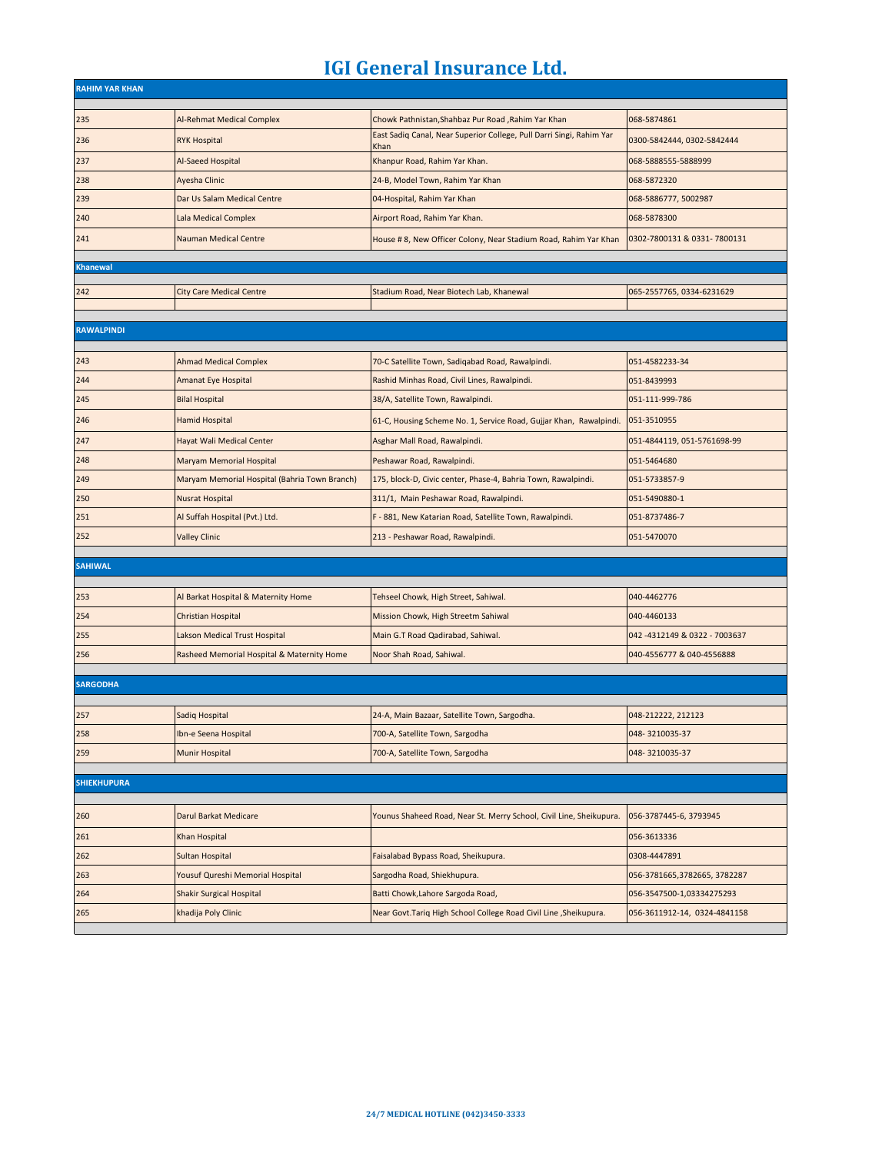| <b>RAHIM YAR KHAN</b> |                                               |                                                                      |                               |
|-----------------------|-----------------------------------------------|----------------------------------------------------------------------|-------------------------------|
| 235                   | Al-Rehmat Medical Complex                     | Chowk Pathnistan, Shahbaz Pur Road, Rahim Yar Khan                   | 068-5874861                   |
| 236                   | <b>RYK Hospital</b>                           | East Sadiq Canal, Near Superior College, Pull Darri Singi, Rahim Yar | 0300-5842444, 0302-5842444    |
| 237                   | Al-Saeed Hospital                             | Khan<br>Khanpur Road, Rahim Yar Khan.                                | 068-5888555-5888999           |
| 238                   | Ayesha Clinic                                 | 24-B, Model Town, Rahim Yar Khan                                     | 068-5872320                   |
| 239                   | Dar Us Salam Medical Centre                   | 04-Hospital, Rahim Yar Khan                                          | 068-5886777, 5002987          |
| 240                   | Lala Medical Complex                          | Airport Road, Rahim Yar Khan.                                        | 068-5878300                   |
| 241                   | <b>Nauman Medical Centre</b>                  | House # 8, New Officer Colony, Near Stadium Road, Rahim Yar Khan     | 0302-7800131 & 0331-7800131   |
|                       |                                               |                                                                      |                               |
| <b>Khanewal</b>       |                                               |                                                                      |                               |
| 242                   | <b>City Care Medical Centre</b>               | Stadium Road, Near Biotech Lab, Khanewal                             | 065-2557765, 0334-6231629     |
|                       |                                               |                                                                      |                               |
| <b>RAWALPINDI</b>     |                                               |                                                                      |                               |
|                       |                                               |                                                                      |                               |
| 243                   | <b>Ahmad Medical Complex</b>                  | 70-C Satellite Town, Sadiqabad Road, Rawalpindi.                     | 051-4582233-34                |
| 244                   | Amanat Eye Hospital                           | Rashid Minhas Road, Civil Lines, Rawalpindi.                         | 051-8439993                   |
| 245                   | <b>Bilal Hospital</b>                         | 38/A, Satellite Town, Rawalpindi.                                    | 051-111-999-786               |
| 246                   | <b>Hamid Hospital</b>                         | 61-C, Housing Scheme No. 1, Service Road, Gujjar Khan, Rawalpindi.   | 051-3510955                   |
| 247                   | Hayat Wali Medical Center                     | Asghar Mall Road, Rawalpindi.                                        | 051-4844119, 051-5761698-99   |
| 248                   | Maryam Memorial Hospital                      | Peshawar Road, Rawalpindi.                                           | 051-5464680                   |
| 249                   | Maryam Memorial Hospital (Bahria Town Branch) | 175, block-D, Civic center, Phase-4, Bahria Town, Rawalpindi.        | 051-5733857-9                 |
| 250                   | <b>Nusrat Hospital</b>                        | 311/1, Main Peshawar Road, Rawalpindi.                               | 051-5490880-1                 |
| 251                   | Al Suffah Hospital (Pvt.) Ltd.                | F - 881, New Katarian Road, Satellite Town, Rawalpindi.              | 051-8737486-7                 |
| 252                   | <b>Valley Clinic</b>                          | 213 - Peshawar Road, Rawalpindi.                                     | 051-5470070                   |
| <b>SAHIWAL</b>        |                                               |                                                                      |                               |
|                       |                                               |                                                                      |                               |
| 253                   | Al Barkat Hospital & Maternity Home           | Tehseel Chowk, High Street, Sahiwal.                                 | 040-4462776                   |
| 254                   | Christian Hospital                            | Mission Chowk, High Streetm Sahiwal                                  | 040-4460133                   |
| 255                   | Lakson Medical Trust Hospital                 | Main G.T Road Qadirabad, Sahiwal.                                    | 042 -4312149 & 0322 - 7003637 |
| 256                   | Rasheed Memorial Hospital & Maternity Home    | Noor Shah Road, Sahiwal.                                             | 040-4556777 & 040-4556888     |
| <b>SARGODHA</b>       |                                               |                                                                      |                               |
|                       |                                               |                                                                      |                               |
| 257                   | Sadiq Hospital                                | 24-A, Main Bazaar, Satellite Town, Sargodha.                         | 048-212222, 212123            |
| 258                   | Ibn-e Seena Hospital                          | 700-A, Satellite Town, Sargodha                                      | 048-3210035-37                |
| 259                   | Munir Hospital                                | 700-A, Satellite Town, Sargodha                                      | 048-3210035-37                |
| <b>SHIEKHUPURA</b>    |                                               |                                                                      |                               |
|                       |                                               |                                                                      |                               |
| 260                   | Darul Barkat Medicare                         | Younus Shaheed Road, Near St. Merry School, Civil Line, Sheikupura.  | 056-3787445-6, 3793945        |
| 261                   | Khan Hospital                                 |                                                                      | 056-3613336                   |
| 262                   | Sultan Hospital                               | Faisalabad Bypass Road, Sheikupura.                                  | 0308-4447891                  |
| 263                   | Yousuf Qureshi Memorial Hospital              | Sargodha Road, Shiekhupura.                                          | 056-3781665,3782665, 3782287  |
| 264                   | <b>Shakir Surgical Hospital</b>               | Batti Chowk, Lahore Sargoda Road,                                    | 056-3547500-1,03334275293     |
| 265                   | khadija Poly Clinic                           | Near Govt. Tariq High School College Road Civil Line , Sheikupura.   | 056-3611912-14, 0324-4841158  |
|                       |                                               |                                                                      |                               |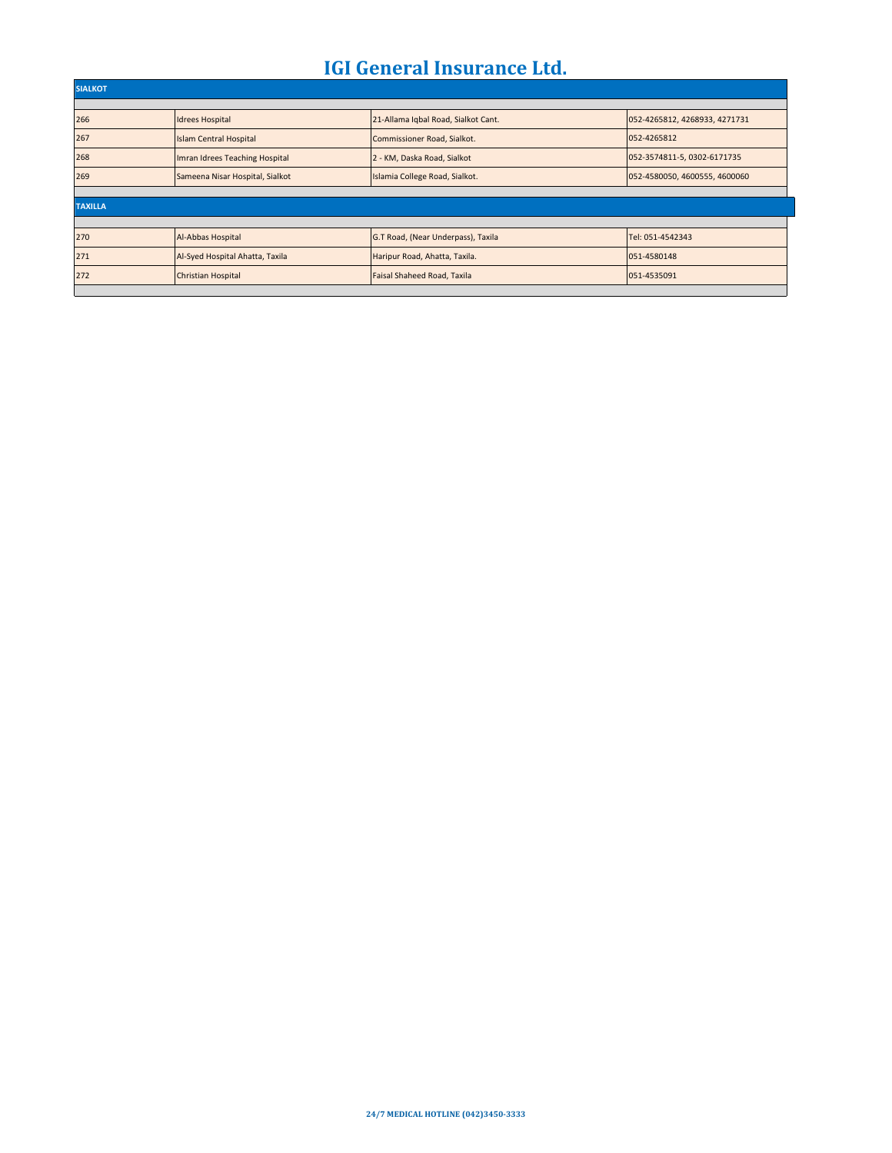| <b>SIALKOT</b> |                                 |                                     |                               |  |  |
|----------------|---------------------------------|-------------------------------------|-------------------------------|--|--|
|                |                                 |                                     |                               |  |  |
| 266            | <b>Idrees Hospital</b>          | 21-Allama Igbal Road, Sialkot Cant. | 052-4265812, 4268933, 4271731 |  |  |
| 267            | <b>Islam Central Hospital</b>   | Commissioner Road, Sialkot.         | 052-4265812                   |  |  |
| 268            | Imran Idrees Teaching Hospital  | 2 - KM, Daska Road, Sialkot         | 052-3574811-5, 0302-6171735   |  |  |
| 269            | Sameena Nisar Hospital, Sialkot | Islamia College Road, Sialkot.      | 052-4580050, 4600555, 4600060 |  |  |
|                |                                 |                                     |                               |  |  |
| <b>TAXILLA</b> |                                 |                                     |                               |  |  |
|                |                                 |                                     |                               |  |  |
| 270            | Al-Abbas Hospital               | G.T Road, (Near Underpass), Taxila  | Tel: 051-4542343              |  |  |
| 271            | Al-Syed Hospital Ahatta, Taxila | Haripur Road, Ahatta, Taxila.       | 051-4580148                   |  |  |
| 272            | <b>Christian Hospital</b>       | Faisal Shaheed Road, Taxila         | 051-4535091                   |  |  |
|                |                                 |                                     |                               |  |  |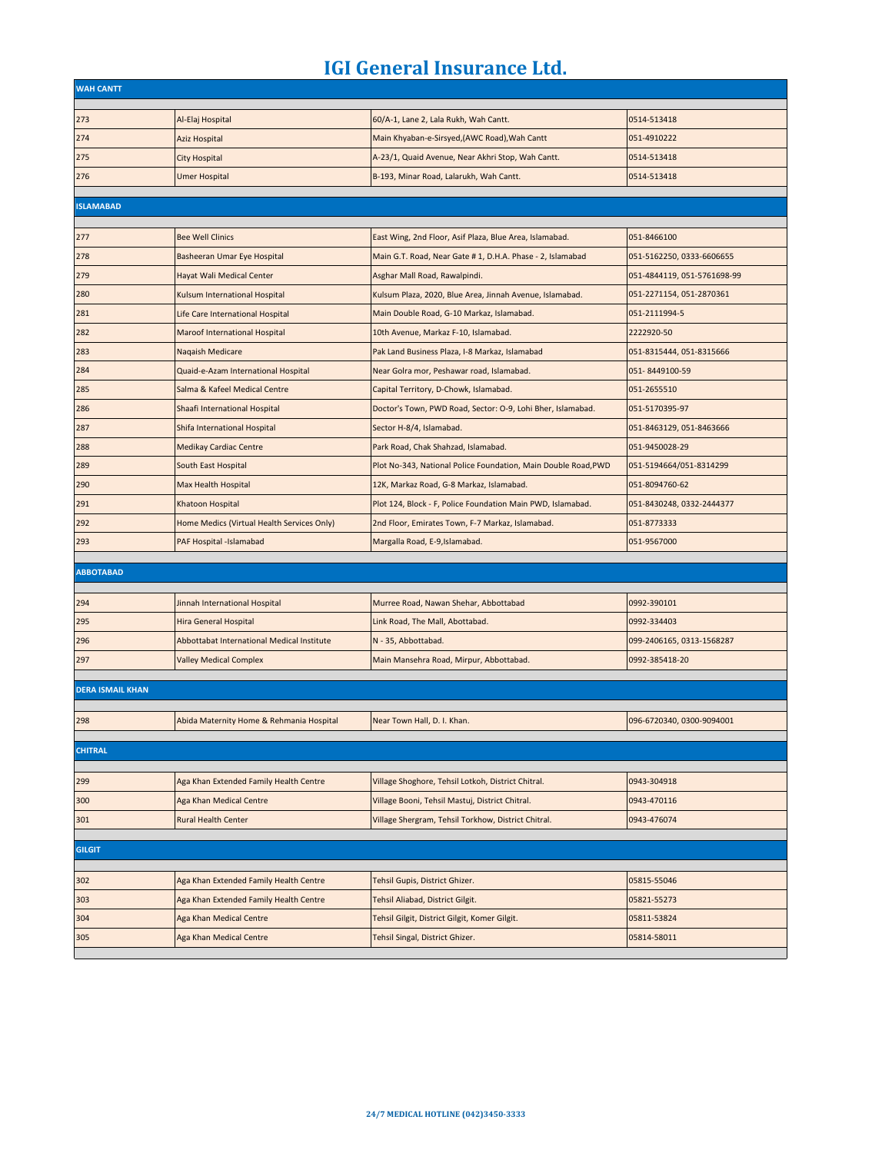| <b>WAH CANTT</b>        |                                            |                                                                |                             |
|-------------------------|--------------------------------------------|----------------------------------------------------------------|-----------------------------|
| 273                     | Al-Elaj Hospital                           | 60/A-1, Lane 2, Lala Rukh, Wah Cantt.                          | 0514-513418                 |
| 274                     | <b>Aziz Hospital</b>                       | Main Khyaban-e-Sirsyed, (AWC Road), Wah Cantt                  | 051-4910222                 |
| 275                     | <b>City Hospital</b>                       | A-23/1, Quaid Avenue, Near Akhri Stop, Wah Cantt.              | 0514-513418                 |
| 276                     | <b>Umer Hospital</b>                       | B-193, Minar Road, Lalarukh, Wah Cantt.                        | 0514-513418                 |
|                         |                                            |                                                                |                             |
| <b>ISLAMABAD</b>        |                                            |                                                                |                             |
| 277                     | <b>Bee Well Clinics</b>                    | East Wing, 2nd Floor, Asif Plaza, Blue Area, Islamabad.        | 051-8466100                 |
| 278                     | Basheeran Umar Eye Hospital                | Main G.T. Road, Near Gate # 1, D.H.A. Phase - 2, Islamabad     | 051-5162250, 0333-6606655   |
| 279                     | Hayat Wali Medical Center                  | Asghar Mall Road, Rawalpindi.                                  | 051-4844119, 051-5761698-99 |
| 280                     | Kulsum International Hospital              | Kulsum Plaza, 2020, Blue Area, Jinnah Avenue, Islamabad.       | 051-2271154, 051-2870361    |
| 281                     | Life Care International Hospital           | Main Double Road, G-10 Markaz, Islamabad.                      | 051-2111994-5               |
| 282                     | Maroof International Hospital              | 10th Avenue, Markaz F-10, Islamabad.                           | 2222920-50                  |
| 283                     | Naqaish Medicare                           | Pak Land Business Plaza, I-8 Markaz, Islamabad                 | 051-8315444, 051-8315666    |
| 284                     | Quaid-e-Azam International Hospital        | Near Golra mor, Peshawar road, Islamabad.                      | 051-8449100-59              |
| 285                     | Salma & Kafeel Medical Centre              | Capital Territory, D-Chowk, Islamabad.                         | 051-2655510                 |
| 286                     | Shaafi International Hospital              | Doctor's Town, PWD Road, Sector: O-9, Lohi Bher, Islamabad.    | 051-5170395-97              |
| 287                     | Shifa International Hospital               | Sector H-8/4, Islamabad.                                       | 051-8463129, 051-8463666    |
| 288                     | <b>Medikay Cardiac Centre</b>              | Park Road, Chak Shahzad, Islamabad.                            | 051-9450028-29              |
| 289                     | South East Hospital                        | Plot No-343, National Police Foundation, Main Double Road, PWD | 051-5194664/051-8314299     |
| 290                     | Max Health Hospital                        | 12K, Markaz Road, G-8 Markaz, Islamabad.                       | 051-8094760-62              |
| 291                     | Khatoon Hospital                           | Plot 124, Block - F, Police Foundation Main PWD, Islamabad.    | 051-8430248, 0332-2444377   |
| 292                     | Home Medics (Virtual Health Services Only) | 2nd Floor, Emirates Town, F-7 Markaz, Islamabad.               | 051-8773333                 |
| 293                     | PAF Hospital -Islamabad                    | Margalla Road, E-9, Islamabad.                                 | 051-9567000                 |
| <b>ABBOTABAD</b>        |                                            |                                                                |                             |
|                         |                                            |                                                                |                             |
| 294                     | Jinnah International Hospital              | Murree Road, Nawan Shehar, Abbottabad                          | 0992-390101                 |
| 295                     | Hira General Hospital                      | Link Road, The Mall, Abottabad.                                | 0992-334403                 |
| 296                     | Abbottabat International Medical Institute | N - 35, Abbottabad.                                            | 099-2406165, 0313-1568287   |
| 297                     | <b>Valley Medical Complex</b>              | Main Mansehra Road, Mirpur, Abbottabad.                        | 0992-385418-20              |
| <b>DERA ISMAIL KHAN</b> |                                            |                                                                |                             |
|                         |                                            |                                                                |                             |
| 298                     | Abida Maternity Home & Rehmania Hospital   | Near Town Hall, D. I. Khan.                                    | 096-6720340, 0300-9094001   |
| <b>CHITRAL</b>          |                                            |                                                                |                             |
|                         |                                            |                                                                |                             |
| 299                     | Aga Khan Extended Family Health Centre     | Village Shoghore, Tehsil Lotkoh, District Chitral.             | 0943-304918                 |
| 300                     | Aga Khan Medical Centre                    | Village Booni, Tehsil Mastuj, District Chitral.                | 0943-470116                 |
| 301                     | <b>Rural Health Center</b>                 | Village Shergram, Tehsil Torkhow, District Chitral.            | 0943-476074                 |
|                         |                                            |                                                                |                             |
| <b>GILGIT</b>           |                                            |                                                                |                             |
| 302                     | Aga Khan Extended Family Health Centre     | Tehsil Gupis, District Ghizer.                                 | 05815-55046                 |
| 303                     | Aga Khan Extended Family Health Centre     | Tehsil Aliabad, District Gilgit.                               | 05821-55273                 |
| 304                     | Aga Khan Medical Centre                    | Tehsil Gilgit, District Gilgit, Komer Gilgit.                  | 05811-53824                 |
| 305                     | Aga Khan Medical Centre                    | Tehsil Singal, District Ghizer.                                | 05814-58011                 |
|                         |                                            |                                                                |                             |